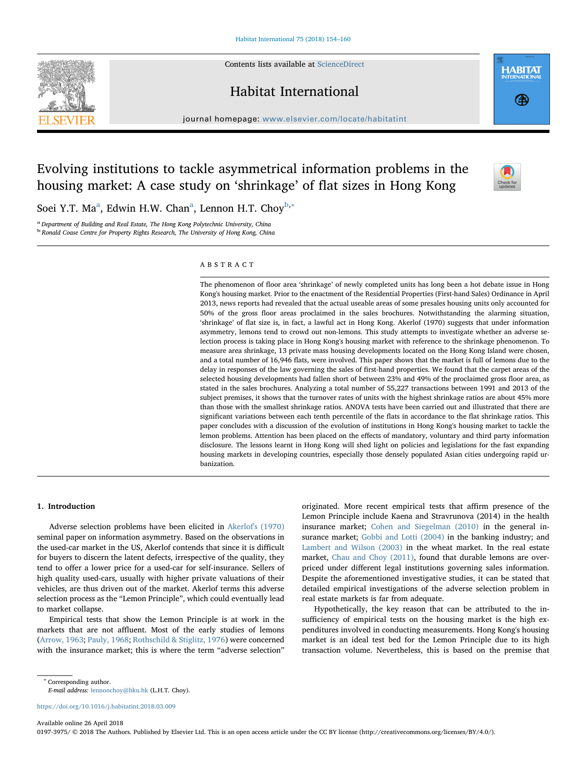

## Habitat International



journal homepage: [www.elsevier.com/locate/habitatint](https://www.elsevier.com/locate/habitatint)

# Evolving institutions to tackle asymmetrical information problems in the housing market: A case study on 'shrinkage' of flat sizes in Hong Kong



Soei Y.T. M[a](#page-0-0)<sup>a</sup>, Edwin H.W. Chan<sup>a</sup>, Lennon H.T. Choy<sup>[b](#page-0-1),</sup>\*

<span id="page-0-1"></span><span id="page-0-0"></span><sup>a</sup> Department of Building and Real Estate, The Hong Kong Polytechnic University, China **b** Ronald Coase Centre for Property Rights Research, The University of Hong Kong, China

## ABSTRACT

The phenomenon of floor area 'shrinkage' of newly completed units has long been a hot debate issue in Hong Kong's housing market. Prior to the enactment of the Residential Properties (First-hand Sales) Ordinance in April 2013, news reports had revealed that the actual useable areas of some presales housing units only accounted for 50% of the gross floor areas proclaimed in the sales brochures. Notwithstanding the alarming situation, 'shrinkage' of flat size is, in fact, a lawful act in Hong Kong. Akerlof (1970) suggests that under information asymmetry, lemons tend to crowd out non-lemons. This study attempts to investigate whether an adverse selection process is taking place in Hong Kong's housing market with reference to the shrinkage phenomenon. To measure area shrinkage, 13 private mass housing developments located on the Hong Kong Island were chosen, and a total number of 16,946 flats, were involved. This paper shows that the market is full of lemons due to the delay in responses of the law governing the sales of first-hand properties. We found that the carpet areas of the selected housing developments had fallen short of between 23% and 49% of the proclaimed gross floor area, as stated in the sales brochures. Analyzing a total number of 55,227 transactions between 1991 and 2013 of the subject premises, it shows that the turnover rates of units with the highest shrinkage ratios are about 45% more than those with the smallest shrinkage ratios. ANOVA tests have been carried out and illustrated that there are significant variations between each tenth percentile of the flats in accordance to the flat shrinkage ratios. This paper concludes with a discussion of the evolution of institutions in Hong Kong's housing market to tackle the lemon problems. Attention has been placed on the effects of mandatory, voluntary and third party information disclosure. The lessons learnt in Hong Kong will shed light on policies and legislations for the fast expanding housing markets in developing countries, especially those densely populated Asian cities undergoing rapid urbanization.

## 1. Introduction

Adverse selection problems have been elicited in [Akerlof's \(1970\)](#page-6-0) seminal paper on information asymmetry. Based on the observations in the used-car market in the US, Akerlof contends that since it is difficult for buyers to discern the latent defects, irrespective of the quality, they tend to offer a lower price for a used-car for self-insurance. Sellers of high quality used-cars, usually with higher private valuations of their vehicles, are thus driven out of the market. Akerlof terms this adverse selection process as the "Lemon Principle", which could eventually lead to market collapse.

Empirical tests that show the Lemon Principle is at work in the markets that are not affluent. Most of the early studies of lemons ([Arrow, 1963;](#page-6-1) [Pauly, 1968;](#page-6-2) [Rothschild & Stiglitz, 1976\)](#page-6-3) were concerned with the insurance market; this is where the term "adverse selection"

originated. More recent empirical tests that affirm presence of the Lemon Principle include Kaena and Stravrunova (2014) in the health insurance market; [Cohen and Siegelman \(2010\)](#page-6-4) in the general insurance market; [Gobbi and Lotti \(2004\)](#page-6-5) in the banking industry; and [Lambert and Wilson \(2003\)](#page-6-6) in the wheat market. In the real estate market, [Chau and Choy \(2011\)](#page-6-7), found that durable lemons are overpriced under different legal institutions governing sales information. Despite the aforementioned investigative studies, it can be stated that detailed empirical investigations of the adverse selection problem in real estate markets is far from adequate.

Hypothetically, the key reason that can be attributed to the insufficiency of empirical tests on the housing market is the high expenditures involved in conducting measurements. Hong Kong's housing market is an ideal test bed for the Lemon Principle due to its high transaction volume. Nevertheless, this is based on the premise that

<https://doi.org/10.1016/j.habitatint.2018.03.009>

Available online 26 April 2018 0197-3975/ © 2018 The Authors. Published by Elsevier Ltd. This is an open access article under the CC BY license (http://creativecommons.org/licenses/BY/4.0/).

<span id="page-0-2"></span><sup>∗</sup> Corresponding author.

E-mail address: [lennonchoy@hku.hk](mailto:lennonchoy@hku.hk) (L.H.T. Choy).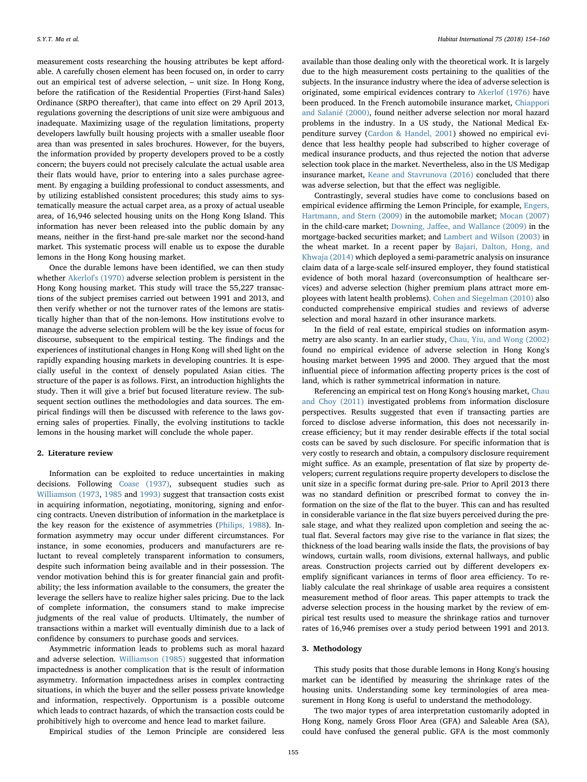measurement costs researching the housing attributes be kept affordable. A carefully chosen element has been focused on, in order to carry out an empirical test of adverse selection, – unit size. In Hong Kong, before the ratification of the Residential Properties (First-hand Sales) Ordinance (SRPO thereafter), that came into effect on 29 April 2013, regulations governing the descriptions of unit size were ambiguous and inadequate. Maximizing usage of the regulation limitations, property developers lawfully built housing projects with a smaller useable floor area than was presented in sales brochures. However, for the buyers, the information provided by property developers proved to be a costly concern; the buyers could not precisely calculate the actual usable area their flats would have, prior to entering into a sales purchase agreement. By engaging a building professional to conduct assessments, and by utilizing established consistent procedures; this study aims to systematically measure the actual carpet area, as a proxy of actual useable area, of 16,946 selected housing units on the Hong Kong Island. This information has never been released into the public domain by any means, neither in the first-hand pre-sale market nor the second-hand market. This systematic process will enable us to expose the durable lemons in the Hong Kong housing market.

Once the durable lemons have been identified, we can then study whether [Akerlof's \(1970\)](#page-6-0) adverse selection problem is persistent in the Hong Kong housing market. This study will trace the 55,227 transactions of the subject premises carried out between 1991 and 2013, and then verify whether or not the turnover rates of the lemons are statistically higher than that of the non-lemons. How institutions evolve to manage the adverse selection problem will be the key issue of focus for discourse, subsequent to the empirical testing. The findings and the experiences of institutional changes in Hong Kong will shed light on the rapidly expanding housing markets in developing countries. It is especially useful in the context of densely populated Asian cities. The structure of the paper is as follows. First, an introduction highlights the study. Then it will give a brief but focused literature review. The subsequent section outlines the methodologies and data sources. The empirical findings will then be discussed with reference to the laws governing sales of properties. Finally, the evolving institutions to tackle lemons in the housing market will conclude the whole paper.

### 2. Literature review

Information can be exploited to reduce uncertainties in making decisions. Following [Coase \(1937\)](#page-6-8), subsequent studies such as [Williamson \(1973](#page-6-9), [1985](#page-6-10) and [1993\)](#page-6-11) suggest that transaction costs exist in acquiring information, negotiating, monitoring, signing and enforcing contracts. Uneven distribution of information in the marketplace is the key reason for the existence of asymmetries [\(Philips, 1988\)](#page-6-12). Information asymmetry may occur under different circumstances. For instance, in some economies, producers and manufacturers are reluctant to reveal completely transparent information to consumers, despite such information being available and in their possession. The vendor motivation behind this is for greater financial gain and profitability; the less information available to the consumers, the greater the leverage the sellers have to realize higher sales pricing. Due to the lack of complete information, the consumers stand to make imprecise judgments of the real value of products. Ultimately, the number of transactions within a market will eventually diminish due to a lack of confidence by consumers to purchase goods and services.

Asymmetric information leads to problems such as moral hazard and adverse selection. [Williamson \(1985\)](#page-6-10) suggested that information impactedness is another complication that is the result of information asymmetry. Information impactedness arises in complex contracting situations, in which the buyer and the seller possess private knowledge and information, respectively. Opportunism is a possible outcome which leads to contract hazards, of which the transaction costs could be prohibitively high to overcome and hence lead to market failure.

Empirical studies of the Lemon Principle are considered less

available than those dealing only with the theoretical work. It is largely due to the high measurement costs pertaining to the qualities of the subjects. In the insurance industry where the idea of adverse selection is originated, some empirical evidences contrary to [Akerlof \(1976\)](#page-6-13) have been produced. In the French automobile insurance market, [Chiappori](#page-6-14) [and Salanié \(2000\),](#page-6-14) found neither adverse selection nor moral hazard problems in the industry. In a US study, the National Medical Expenditure survey [\(Cardon & Handel, 2001\)](#page-6-15) showed no empirical evidence that less healthy people had subscribed to higher coverage of medical insurance products, and thus rejected the notion that adverse selection took place in the market. Nevertheless, also in the US Medigap insurance market, [Keane and Stavrunova \(2016\)](#page-6-16) concluded that there was adverse selection, but that the effect was negligible.

Contrastingly, several studies have come to conclusions based on empirical evidence affirming the Lemon Principle, for example, [Engers,](#page-6-17) [Hartmann, and Stern \(2009\)](#page-6-17) in the automobile market; [Mocan \(2007\)](#page-6-18) in the child-care market; Downing, Jaff[ee, and Wallance \(2009\)](#page-6-19) in the mortgage-backed securities market; and [Lambert and Wilson \(2003\)](#page-6-6) in the wheat market. In a recent paper by [Bajari, Dalton, Hong, and](#page-6-20) [Khwaja \(2014\)](#page-6-20) which deployed a semi-parametric analysis on insurance claim data of a large-scale self-insured employer, they found statistical evidence of both moral hazard (overconsumption of healthcare services) and adverse selection (higher premium plans attract more employees with latent health problems). [Cohen and Siegelman \(2010\)](#page-6-4) also conducted comprehensive empirical studies and reviews of adverse selection and moral hazard in other insurance markets.

In the field of real estate, empirical studies on information asymmetry are also scanty. In an earlier study, [Chau, Yiu, and Wong \(2002\)](#page-6-21) found no empirical evidence of adverse selection in Hong Kong's housing market between 1995 and 2000. They argued that the most influential piece of information affecting property prices is the cost of land, which is rather symmetrical information in nature.

Referencing an empirical test on Hong Kong's housing market, [Chau](#page-6-7) [and Choy \(2011\)](#page-6-7) investigated problems from information disclosure perspectives. Results suggested that even if transacting parties are forced to disclose adverse information, this does not necessarily increase efficiency; but it may render desirable effects if the total social costs can be saved by such disclosure. For specific information that is very costly to research and obtain, a compulsory disclosure requirement might suffice. As an example, presentation of flat size by property developers; current regulations require property developers to disclose the unit size in a specific format during pre-sale. Prior to April 2013 there was no standard definition or prescribed format to convey the information on the size of the flat to the buyer. This can and has resulted in considerable variance in the flat size buyers perceived during the presale stage, and what they realized upon completion and seeing the actual flat. Several factors may give rise to the variance in flat sizes; the thickness of the load bearing walls inside the flats, the provisions of bay windows, curtain walls, room divisions, external hallways, and public areas. Construction projects carried out by different developers exemplify significant variances in terms of floor area efficiency. To reliably calculate the real shrinkage of usable area requires a consistent measurement method of floor areas. This paper attempts to track the adverse selection process in the housing market by the review of empirical test results used to measure the shrinkage ratios and turnover rates of 16,946 premises over a study period between 1991 and 2013.

## 3. Methodology

This study posits that those durable lemons in Hong Kong's housing market can be identified by measuring the shrinkage rates of the housing units. Understanding some key terminologies of area measurement in Hong Kong is useful to understand the methodology.

The two major types of area interpretation customarily adopted in Hong Kong, namely Gross Floor Area (GFA) and Saleable Area (SA), could have confused the general public. GFA is the most commonly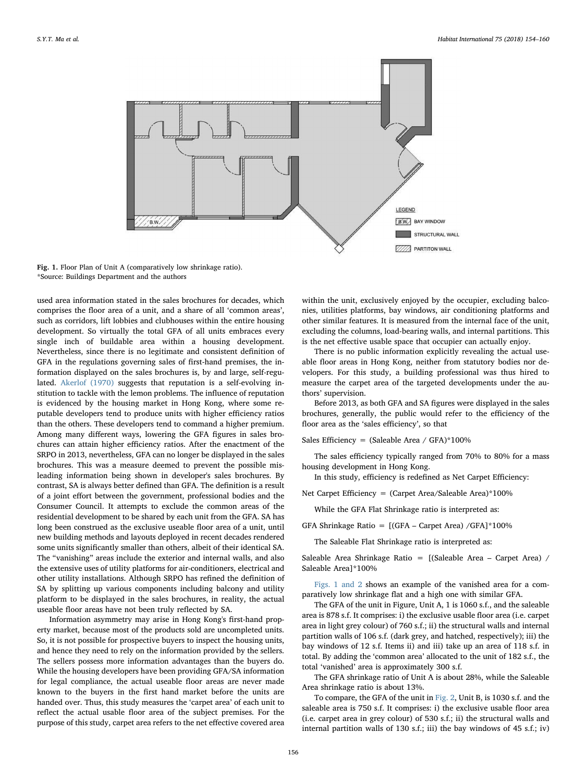<span id="page-2-0"></span>

Fig. 1. Floor Plan of Unit A (comparatively low shrinkage ratio). \*Source: Buildings Department and the authors

used area information stated in the sales brochures for decades, which comprises the floor area of a unit, and a share of all 'common areas', such as corridors, lift lobbies and clubhouses within the entire housing development. So virtually the total GFA of all units embraces every single inch of buildable area within a housing development. Nevertheless, since there is no legitimate and consistent definition of GFA in the regulations governing sales of first-hand premises, the information displayed on the sales brochures is, by and large, self-regulated. [Akerlof \(1970\)](#page-6-0) suggests that reputation is a self-evolving institution to tackle with the lemon problems. The influence of reputation is evidenced by the housing market in Hong Kong, where some reputable developers tend to produce units with higher efficiency ratios than the others. These developers tend to command a higher premium. Among many different ways, lowering the GFA figures in sales brochures can attain higher efficiency ratios. After the enactment of the SRPO in 2013, nevertheless, GFA can no longer be displayed in the sales brochures. This was a measure deemed to prevent the possible misleading information being shown in developer's sales brochures. By contrast, SA is always better defined than GFA. The definition is a result of a joint effort between the government, professional bodies and the Consumer Council. It attempts to exclude the common areas of the residential development to be shared by each unit from the GFA. SA has long been construed as the exclusive useable floor area of a unit, until new building methods and layouts deployed in recent decades rendered some units significantly smaller than others, albeit of their identical SA. The "vanishing" areas include the exterior and internal walls, and also the extensive uses of utility platforms for air-conditioners, electrical and other utility installations. Although SRPO has refined the definition of SA by splitting up various components including balcony and utility platform to be displayed in the sales brochures, in reality, the actual useable floor areas have not been truly reflected by SA.

Information asymmetry may arise in Hong Kong's first-hand property market, because most of the products sold are uncompleted units. So, it is not possible for prospective buyers to inspect the housing units, and hence they need to rely on the information provided by the sellers. The sellers possess more information advantages than the buyers do. While the housing developers have been providing GFA/SA information for legal compliance, the actual useable floor areas are never made known to the buyers in the first hand market before the units are handed over. Thus, this study measures the 'carpet area' of each unit to reflect the actual usable floor area of the subject premises. For the purpose of this study, carpet area refers to the net effective covered area

within the unit, exclusively enjoyed by the occupier, excluding balconies, utilities platforms, bay windows, air conditioning platforms and other similar features. It is measured from the internal face of the unit, excluding the columns, load-bearing walls, and internal partitions. This is the net effective usable space that occupier can actually enjoy.

There is no public information explicitly revealing the actual useable floor areas in Hong Kong, neither from statutory bodies nor developers. For this study, a building professional was thus hired to measure the carpet area of the targeted developments under the authors' supervision.

Before 2013, as both GFA and SA figures were displayed in the sales brochures, generally, the public would refer to the efficiency of the floor area as the 'sales efficiency', so that

Sales Efficiency = (Saleable Area / GFA)\*100%

The sales efficiency typically ranged from 70% to 80% for a mass housing development in Hong Kong.

In this study, efficiency is redefined as Net Carpet Efficiency:

Net Carpet Efficiency = (Carpet Area/Saleable Area)\*100%

While the GFA Flat Shrinkage ratio is interpreted as:

GFA Shrinkage Ratio = [(GFA – Carpet Area) /GFA]\*100%

The Saleable Flat Shrinkage ratio is interpreted as:

Saleable Area Shrinkage Ratio =  $[(Saleable Area - Carpet Area) /$ Saleable Area]\*100%

[Figs. 1 and 2](#page-2-0) shows an example of the vanished area for a comparatively low shrinkage flat and a high one with similar GFA.

The GFA of the unit in Figure, Unit A, 1 is 1060 s.f., and the saleable area is 878 s.f. It comprises: i) the exclusive usable floor area (i.e. carpet area in light grey colour) of 760 s.f.; ii) the structural walls and internal partition walls of 106 s.f. (dark grey, and hatched, respectively); iii) the bay windows of 12 s.f. Items ii) and iii) take up an area of 118 s.f. in total. By adding the 'common area' allocated to the unit of 182 s.f., the total 'vanished' area is approximately 300 s.f.

The GFA shrinkage ratio of Unit A is about 28%, while the Saleable Area shrinkage ratio is about 13%.

To compare, the GFA of the unit in [Fig. 2](#page-3-0), Unit B, is 1030 s.f. and the saleable area is 750 s.f. It comprises: i) the exclusive usable floor area (i.e. carpet area in grey colour) of 530 s.f.; ii) the structural walls and internal partition walls of 130 s.f.; iii) the bay windows of 45 s.f.; iv)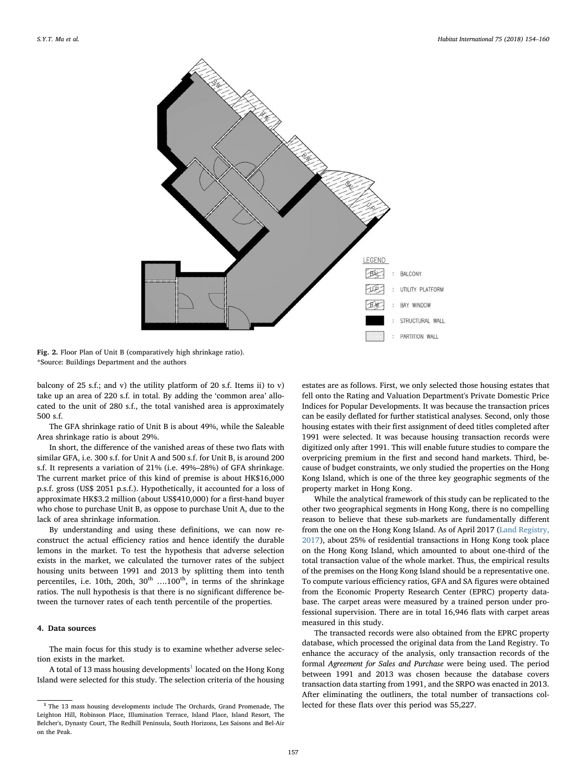<span id="page-3-0"></span>

Fig. 2. Floor Plan of Unit B (comparatively high shrinkage ratio). \*Source: Buildings Department and the authors

balcony of 25 s.f.; and v) the utility platform of 20 s.f. Items ii) to v) take up an area of 220 s.f. in total. By adding the 'common area' allocated to the unit of 280 s.f., the total vanished area is approximately 500 s.f.

The GFA shrinkage ratio of Unit B is about 49%, while the Saleable Area shrinkage ratio is about 29%.

In short, the difference of the vanished areas of these two flats with similar GFA, i.e. 300 s.f. for Unit A and 500 s.f. for Unit B, is around 200 s.f. It represents a variation of 21% (i.e. 49%–28%) of GFA shrinkage. The current market price of this kind of premise is about HK\$16,000 p.s.f. gross (US\$ 2051 p.s.f.). Hypothetically, it accounted for a loss of approximate HK\$3.2 million (about US\$410,000) for a first-hand buyer who chose to purchase Unit B, as oppose to purchase Unit A, due to the lack of area shrinkage information.

By understanding and using these definitions, we can now reconstruct the actual efficiency ratios and hence identify the durable lemons in the market. To test the hypothesis that adverse selection exists in the market, we calculated the turnover rates of the subject housing units between 1991 and 2013 by splitting them into tenth percentiles, i.e. 10th, 20th,  $30<sup>th</sup>$  ...  $100<sup>th</sup>$ , in terms of the shrinkage ratios. The null hypothesis is that there is no significant difference between the turnover rates of each tenth percentile of the properties.

## 4. Data sources

The main focus for this study is to examine whether adverse selection exists in the market.

A total of [1](#page-3-1)3 mass housing developments<sup>1</sup> located on the Hong Kong Island were selected for this study. The selection criteria of the housing

estates are as follows. First, we only selected those housing estates that fell onto the Rating and Valuation Department's Private Domestic Price Indices for Popular Developments. It was because the transaction prices can be easily deflated for further statistical analyses. Second, only those housing estates with their first assignment of deed titles completed after 1991 were selected. It was because housing transaction records were digitized only after 1991. This will enable future studies to compare the overpricing premium in the first and second hand markets. Third, because of budget constraints, we only studied the properties on the Hong Kong Island, which is one of the three key geographic segments of the property market in Hong Kong.

While the analytical framework of this study can be replicated to the other two geographical segments in Hong Kong, there is no compelling reason to believe that these sub-markets are fundamentally different from the one on the Hong Kong Island. As of April 2017 [\(Land Registry,](#page-6-22) [2017\)](#page-6-22), about 25% of residential transactions in Hong Kong took place on the Hong Kong Island, which amounted to about one-third of the total transaction value of the whole market. Thus, the empirical results of the premises on the Hong Kong Island should be a representative one. To compute various efficiency ratios, GFA and SA figures were obtained from the Economic Property Research Center (EPRC) property database. The carpet areas were measured by a trained person under professional supervision. There are in total 16,946 flats with carpet areas measured in this study.

The transacted records were also obtained from the EPRC property database, which processed the original data from the Land Registry. To enhance the accuracy of the analysis, only transaction records of the formal Agreement for Sales and Purchase were being used. The period between 1991 and 2013 was chosen because the database covers transaction data starting from 1991, and the SRPO was enacted in 2013. After eliminating the outliners, the total number of transactions collected for these flats over this period was 55,227.

<span id="page-3-1"></span><sup>&</sup>lt;sup>1</sup> The 13 mass housing developments include The Orchards, Grand Promenade, The Leighton Hill, Robinson Place, Illumination Terrace, Island Place, Island Resort, The Belcher's, Dynasty Court, The Redhill Peninsula, South Horizons, Les Saisons and Bel-Air on the Peak.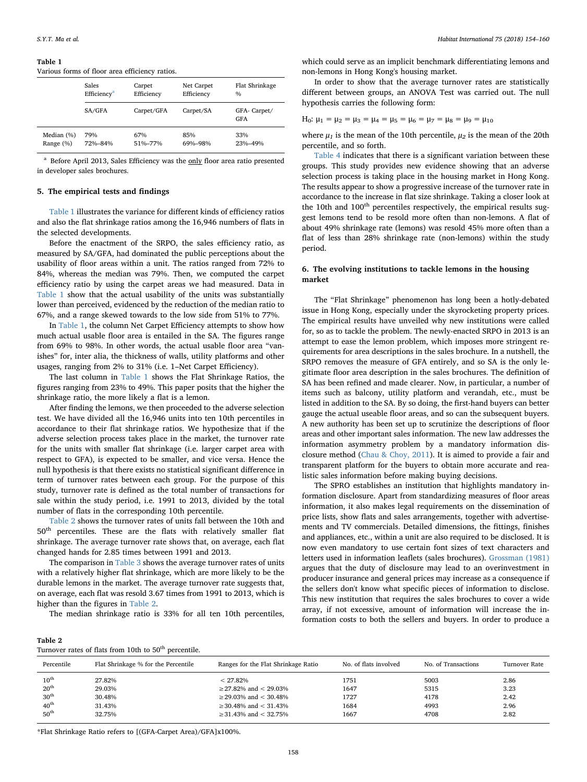#### <span id="page-4-0"></span>Table 1

Various forms of floor area efficiency ratios.

| Sales<br>Efficiency <sup>a</sup> | Carpet<br>Efficiency | Net Carpet<br>Efficiency | Flat Shrinkage<br>$\frac{0}{0}$ |  |
|----------------------------------|----------------------|--------------------------|---------------------------------|--|
| SA/GFA                           | Carpet/GFA           | Carpet/SA                | GFA- Carpet/<br><b>GFA</b>      |  |
| 79%<br>72%-84%                   | 67%<br>51%-77%       | 85%<br>69%-98%           | 33%<br>23%-49%                  |  |
|                                  |                      |                          |                                 |  |

<span id="page-4-2"></span><sup>a</sup> Before April 2013, Sales Efficiency was the only floor area ratio presented in developer sales brochures.

#### 5. The empirical tests and findings

[Table 1](#page-4-0) illustrates the variance for different kinds of efficiency ratios and also the flat shrinkage ratios among the 16,946 numbers of flats in the selected developments.

Before the enactment of the SRPO, the sales efficiency ratio, as measured by SA/GFA, had dominated the public perceptions about the usability of floor areas within a unit. The ratios ranged from 72% to 84%, whereas the median was 79%. Then, we computed the carpet efficiency ratio by using the carpet areas we had measured. Data in [Table 1](#page-4-0) show that the actual usability of the units was substantially lower than perceived, evidenced by the reduction of the median ratio to 67%, and a range skewed towards to the low side from 51% to 77%.

In [Table 1](#page-4-0), the column Net Carpet Efficiency attempts to show how much actual usable floor area is entailed in the SA. The figures range from 69% to 98%. In other words, the actual usable floor area "vanishes" for, inter alia, the thickness of walls, utility platforms and other usages, ranging from 2% to 31% (i.e. 1–Net Carpet Efficiency).

The last column in [Table 1](#page-4-0) shows the Flat Shrinkage Ratios, the figures ranging from 23% to 49%. This paper posits that the higher the shrinkage ratio, the more likely a flat is a lemon.

After finding the lemons, we then proceeded to the adverse selection test. We have divided all the 16,946 units into ten 10th percentiles in accordance to their flat shrinkage ratios. We hypothesize that if the adverse selection process takes place in the market, the turnover rate for the units with smaller flat shrinkage (i.e. larger carpet area with respect to GFA), is expected to be smaller, and vice versa. Hence the null hypothesis is that there exists no statistical significant difference in term of turnover rates between each group. For the purpose of this study, turnover rate is defined as the total number of transactions for sale within the study period, i.e. 1991 to 2013, divided by the total number of flats in the corresponding 10th percentile.

[Table 2](#page-4-1) shows the turnover rates of units fall between the 10th and 50th percentiles. These are the flats with relatively smaller flat shrinkage. The average turnover rate shows that, on average, each flat changed hands for 2.85 times between 1991 and 2013.

The comparison in [Table 3](#page-5-0) shows the average turnover rates of units with a relatively higher flat shrinkage, which are more likely to be the durable lemons in the market. The average turnover rate suggests that, on average, each flat was resold 3.67 times from 1991 to 2013, which is higher than the figures in [Table 2](#page-4-1).

The median shrinkage ratio is 33% for all ten 10th percentiles,

which could serve as an implicit benchmark differentiating lemons and non-lemons in Hong Kong's housing market.

In order to show that the average turnover rates are statistically different between groups, an ANOVA Test was carried out. The null hypothesis carries the following form:

$$
H_0: \mu_1 = \mu_2 = \mu_3 = \mu_4 = \mu_5 = \mu_6 = \mu_7 = \mu_8 = \mu_9 = \mu_{10}
$$

where  $\mu_1$  is the mean of the 10th percentile,  $\mu_2$  is the mean of the 20th percentile, and so forth.

[Table 4](#page-5-1) indicates that there is a significant variation between these groups. This study provides new evidence showing that an adverse selection process is taking place in the housing market in Hong Kong. The results appear to show a progressive increase of the turnover rate in accordance to the increase in flat size shrinkage. Taking a closer look at the 10th and  $100^{\text{th}}$  percentiles respectively, the empirical results suggest lemons tend to be resold more often than non-lemons. A flat of about 49% shrinkage rate (lemons) was resold 45% more often than a flat of less than 28% shrinkage rate (non-lemons) within the study period.

## 6. The evolving institutions to tackle lemons in the housing market

The "Flat Shrinkage" phenomenon has long been a hotly-debated issue in Hong Kong, especially under the skyrocketing property prices. The empirical results have unveiled why new institutions were called for, so as to tackle the problem. The newly-enacted SRPO in 2013 is an attempt to ease the lemon problem, which imposes more stringent requirements for area descriptions in the sales brochure. In a nutshell, the SRPO removes the measure of GFA entirely, and so SA is the only legitimate floor area description in the sales brochures. The definition of SA has been refined and made clearer. Now, in particular, a number of items such as balcony, utility platform and verandah, etc., must be listed in addition to the SA. By so doing, the first-hand buyers can better gauge the actual useable floor areas, and so can the subsequent buyers. A new authority has been set up to scrutinize the descriptions of floor areas and other important sales information. The new law addresses the information asymmetry problem by a mandatory information disclosure method ([Chau & Choy, 2011](#page-6-7)). It is aimed to provide a fair and transparent platform for the buyers to obtain more accurate and realistic sales information before making buying decisions.

The SPRO establishes an institution that highlights mandatory information disclosure. Apart from standardizing measures of floor areas information, it also makes legal requirements on the dissemination of price lists, show flats and sales arrangements, together with advertisements and TV commercials. Detailed dimensions, the fittings, finishes and appliances, etc., within a unit are also required to be disclosed. It is now even mandatory to use certain font sizes of text characters and letters used in information leaflets (sales brochures). [Grossman \(1981\)](#page-6-23) argues that the duty of disclosure may lead to an overinvestment in producer insurance and general prices may increase as a consequence if the sellers don't know what specific pieces of information to disclose. This new institution that requires the sales brochures to cover a wide array, if not excessive, amount of information will increase the information costs to both the sellers and buyers. In order to produce a

<span id="page-4-1"></span>

| Table 2 |  |  |                                                                   |
|---------|--|--|-------------------------------------------------------------------|
|         |  |  | Turnover rates of flats from 10th to 50 <sup>th</sup> percentile. |

| Percentile       | Flat Shrinkage % for the Percentile | Ranges for the Flat Shrinkage Ratio | No. of flats involved | No. of Transactions | Turnover Rate |
|------------------|-------------------------------------|-------------------------------------|-----------------------|---------------------|---------------|
| 10 <sup>th</sup> | 27.82%                              | < 27.82%                            | 1751                  | 5003                | 2.86          |
| 20 <sup>th</sup> | 29.03%                              | $>27.82\%$ and $< 29.03\%$          | 1647                  | 5315                | 3.23          |
| 30 <sup>th</sup> | 30.48%                              | $\geq$ 29.03% and < 30.48%          | 1727                  | 4178                | 2.42          |
| 40 <sup>th</sup> | 31.43%                              | $\geq$ 30.48% and < 31.43%          | 1684                  | 4993                | 2.96          |
| 50 <sup>th</sup> | 32.75%                              | $\geq$ 31.43% and < 32.75%          | 1667                  | 4708                | 2.82          |

\*Flat Shrinkage Ratio refers to [(GFA-Carpet Area)/GFA]x100%.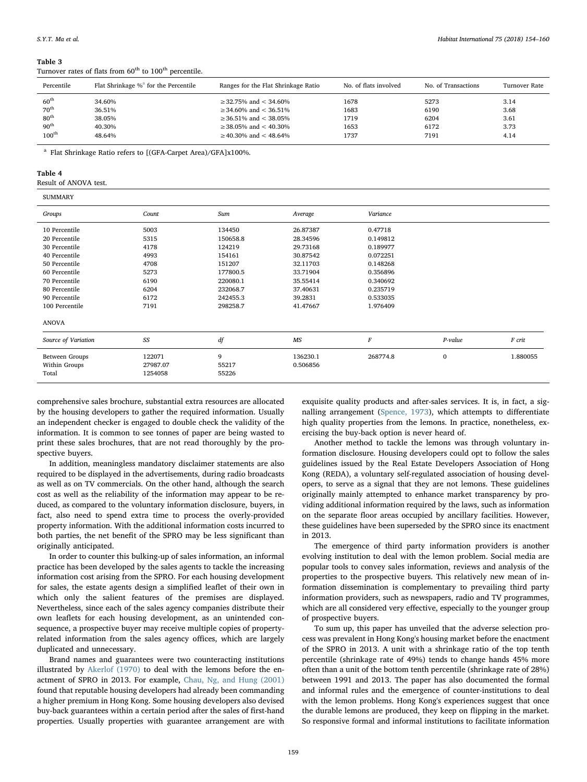#### S.Y.T. Ma et al. *Habitat International 75 (2018) 154–160*

#### <span id="page-5-0"></span>Table 3

Turnover rates of flats from 60<sup>th</sup> to 100<sup>th</sup> percentile.

| Percentile        | Flat Shrinkage $\%$ <sup>a</sup> for the Percentile | Ranges for the Flat Shrinkage Ratio | No. of flats involved | No. of Transactions | Turnover Rate |
|-------------------|-----------------------------------------------------|-------------------------------------|-----------------------|---------------------|---------------|
| 60 <sup>th</sup>  | 34.60%                                              | $\geq$ 32.75% and < 34.60%          | 1678                  | 5273                | 3.14          |
| 70 <sup>th</sup>  | 36.51%                                              | $\geq$ 34.60% and < 36.51%          | 1683                  | 6190                | 3.68          |
| 80 <sup>th</sup>  | 38.05%                                              | $\geq$ 36.51% and < 38.05%          | 1719                  | 6204                | 3.61          |
| 90 <sup>th</sup>  | 40.30%                                              | $\geq$ 38.05% and < 40.30%          | 1653                  | 6172                | 3.73          |
| $100^{\text{th}}$ | 48.64%                                              | $\geq$ 40.30% and < 48.64%          | 1737                  | 7191                | 4.14          |

<span id="page-5-2"></span><sup>a</sup> Flat Shrinkage Ratio refers to [(GFA-Carpet Area)/GFA]x100%.

### <span id="page-5-1"></span>Table 4

Result of ANOVA test.

#### **SUMMARY**

| Groups                                   | Count                         | Sum                 | Average              | Variance |             |          |
|------------------------------------------|-------------------------------|---------------------|----------------------|----------|-------------|----------|
| 10 Percentile                            | 5003                          | 134450              | 26.87387             | 0.47718  |             |          |
| 20 Percentile                            | 5315                          | 150658.8            | 28.34596             | 0.149812 |             |          |
| 30 Percentile                            | 4178                          | 124219              | 29.73168             | 0.189977 |             |          |
| 40 Percentile                            | 4993                          | 154161              | 30.87542             | 0.072251 |             |          |
| 50 Percentile                            | 4708                          | 151207              | 32.11703             | 0.148268 |             |          |
| 60 Percentile                            | 5273                          | 177800.5            | 33.71904             | 0.356896 |             |          |
| 70 Percentile                            | 6190                          | 220080.1            | 35.55414             | 0.340692 |             |          |
| 80 Percentile                            | 6204                          | 232068.7            | 37.40631             | 0.235719 |             |          |
| 90 Percentile                            | 6172                          | 242455.3            | 39.2831              | 0.533035 |             |          |
| 100 Percentile                           | 7191                          | 298258.7            | 41.47667             | 1.976409 |             |          |
| <b>ANOVA</b>                             |                               |                     |                      |          |             |          |
| Source of Variation                      | SS                            | df                  | MS                   | $\cal F$ | $P$ -value  | F crit   |
| Between Groups<br>Within Groups<br>Total | 122071<br>27987.07<br>1254058 | 9<br>55217<br>55226 | 136230.1<br>0.506856 | 268774.8 | $\mathbf 0$ | 1.880055 |

comprehensive sales brochure, substantial extra resources are allocated by the housing developers to gather the required information. Usually an independent checker is engaged to double check the validity of the information. It is common to see tonnes of paper are being wasted to print these sales brochures, that are not read thoroughly by the prospective buyers.

In addition, meaningless mandatory disclaimer statements are also required to be displayed in the advertisements, during radio broadcasts as well as on TV commercials. On the other hand, although the search cost as well as the reliability of the information may appear to be reduced, as compared to the voluntary information disclosure, buyers, in fact, also need to spend extra time to process the overly-provided property information. With the additional information costs incurred to both parties, the net benefit of the SPRO may be less significant than originally anticipated.

In order to counter this bulking-up of sales information, an informal practice has been developed by the sales agents to tackle the increasing information cost arising from the SPRO. For each housing development for sales, the estate agents design a simplified leaflet of their own in which only the salient features of the premises are displayed. Nevertheless, since each of the sales agency companies distribute their own leaflets for each housing development, as an unintended consequence, a prospective buyer may receive multiple copies of propertyrelated information from the sales agency offices, which are largely duplicated and unnecessary.

Brand names and guarantees were two counteracting institutions illustrated by [Akerlof \(1970\)](#page-6-0) to deal with the lemons before the enactment of SPRO in 2013. For example, [Chau, Ng, and Hung \(2001\)](#page-6-24) found that reputable housing developers had already been commanding a higher premium in Hong Kong. Some housing developers also devised buy-back guarantees within a certain period after the sales of first-hand properties. Usually properties with guarantee arrangement are with

exquisite quality products and after-sales services. It is, in fact, a signalling arrangement [\(Spence, 1973](#page-6-25)), which attempts to differentiate high quality properties from the lemons. In practice, nonetheless, exercising the buy-back option is never heard of.

Another method to tackle the lemons was through voluntary information disclosure. Housing developers could opt to follow the sales guidelines issued by the Real Estate Developers Association of Hong Kong (REDA), a voluntary self-regulated association of housing developers, to serve as a signal that they are not lemons. These guidelines originally mainly attempted to enhance market transparency by providing additional information required by the laws, such as information on the separate floor areas occupied by ancillary facilities. However, these guidelines have been superseded by the SPRO since its enactment in 2013.

The emergence of third party information providers is another evolving institution to deal with the lemon problem. Social media are popular tools to convey sales information, reviews and analysis of the properties to the prospective buyers. This relatively new mean of information dissemination is complementary to prevailing third party information providers, such as newspapers, radio and TV programmes, which are all considered very effective, especially to the younger group of prospective buyers.

To sum up, this paper has unveiled that the adverse selection process was prevalent in Hong Kong's housing market before the enactment of the SPRO in 2013. A unit with a shrinkage ratio of the top tenth percentile (shrinkage rate of 49%) tends to change hands 45% more often than a unit of the bottom tenth percentile (shrinkage rate of 28%) between 1991 and 2013. The paper has also documented the formal and informal rules and the emergence of counter-institutions to deal with the lemon problems. Hong Kong's experiences suggest that once the durable lemons are produced, they keep on flipping in the market. So responsive formal and informal institutions to facilitate information